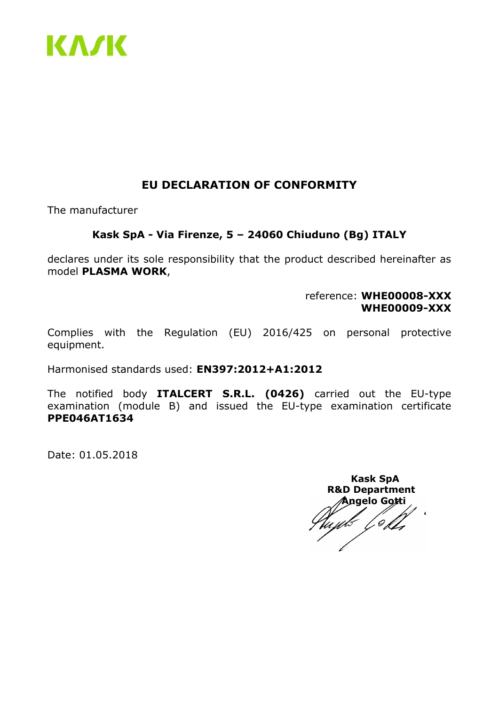

### EU DECLARATION OF CONFORMITY

The manufacturer

#### Kask SpA - Via Firenze, 5 – 24060 Chiuduno (Bg) ITALY

declares under its sole responsibility that the product described hereinafter as model PLASMA WORK,

> reference: WHE00008-XXX WHE00009-XXX

Complies with the Regulation (EU) 2016/425 on personal protective equipment.

Harmonised standards used: EN397:2012+A1:2012

The notified body **ITALCERT S.R.L. (0426)** carried out the EU-type examination (module B) and issued the EU-type examination certificate PPE046AT1634

 Kask SpA R&D Department Angelo Gottiits (John yp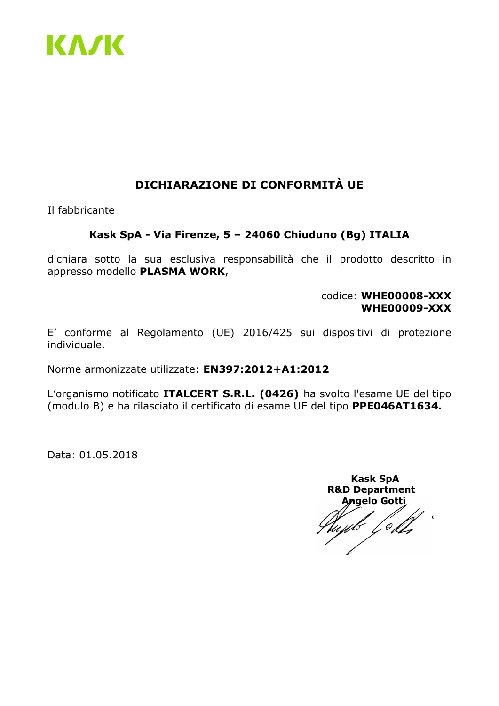

### DICHIARAZIONE DI CONFORMITÀ UE

Il fabbricante

#### Kask SpA - Via Firenze, 5 – 24060 Chiuduno (Bg) ITALIA

dichiara sotto la sua esclusiva responsabilità che il prodotto descritto in appresso modello PLASMA WORK,

> codice: WHE00008-XXX WHE00009-XXX

E' conforme al Regolamento (UE) 2016/425 sui dispositivi di protezione individuale.

Norme armonizzate utilizzate: EN397:2012+A1:2012

L'organismo notificato ITALCERT S.R.L. (0426) ha svolto l'esame UE del tipo (modulo B) e ha rilasciato il certificato di esame UE del tipo PPE046AT1634.

 Kask SpA R&D Department Angelo Gotti<br>Wyds Colli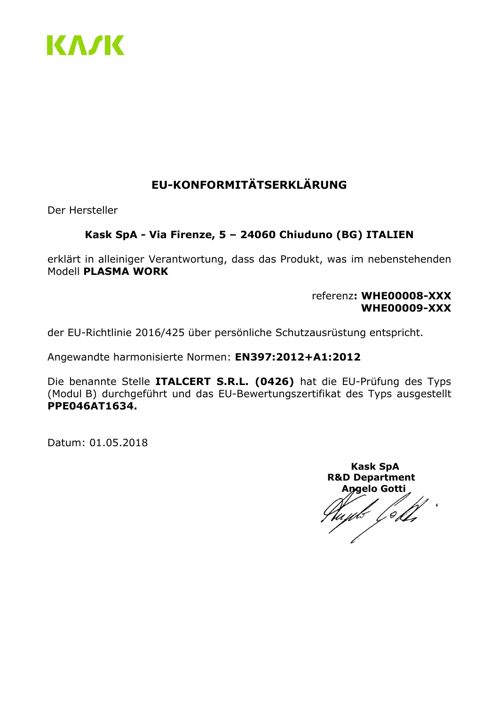

# EU-KONFORMITÄTSERKLÄRUNG

Der Hersteller

### Kask SpA - Via Firenze, 5 – 24060 Chiuduno (BG) ITALIEN

erklärt in alleiniger Verantwortung, dass das Produkt, was im nebenstehenden Modell PLASMA WORK

> referenz: WHE00008-XXX WHE00009-XXX

der EU-Richtlinie 2016/425 über persönliche Schutzausrüstung entspricht.

Angewandte harmonisierte Normen: EN397:2012+A1:2012

Die benannte Stelle ITALCERT S.R.L. (0426) hat die EU-Prüfung des Typs (Modul B) durchgeführt und das EU-Bewertungszertifikat des Typs ausgestellt PPE046AT1634.

Datum: 01.05.2018

 Kask SpA R&D Department Angelo Gotti wb [ob],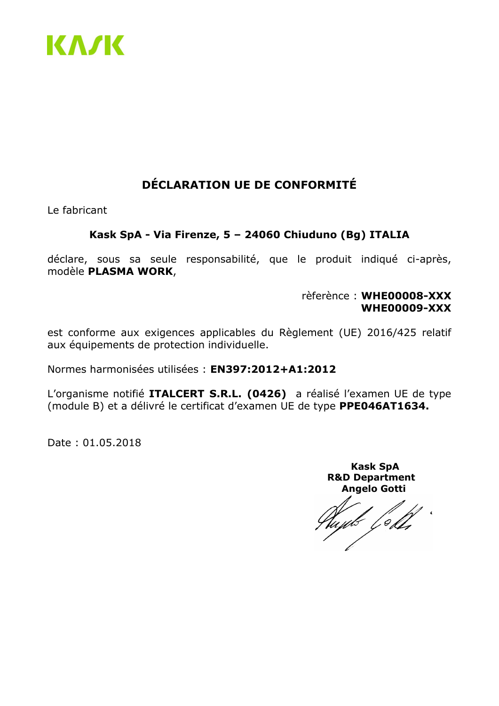

# DÉCLARATION UE DE CONFORMITÉ

Le fabricant

### Kask SpA - Via Firenze, 5 – 24060 Chiuduno (Bg) ITALIA

déclare, sous sa seule responsabilité, que le produit indiqué ci-après, modèle PLASMA WORK,

> rèferènce : WHE00008-XXX WHE00009-XXX

est conforme aux exigences applicables du Règlement (UE) 2016/425 relatif aux équipements de protection individuelle.

Normes harmonisées utilisées : EN397:2012+A1:2012

L'organisme notifié ITALCERT S.R.L. (0426) a réalisé l'examen UE de type (module B) et a délivré le certificat d'examen UE de type PPE046AT1634.

Date : 01.05.2018

tu*yb (*oli,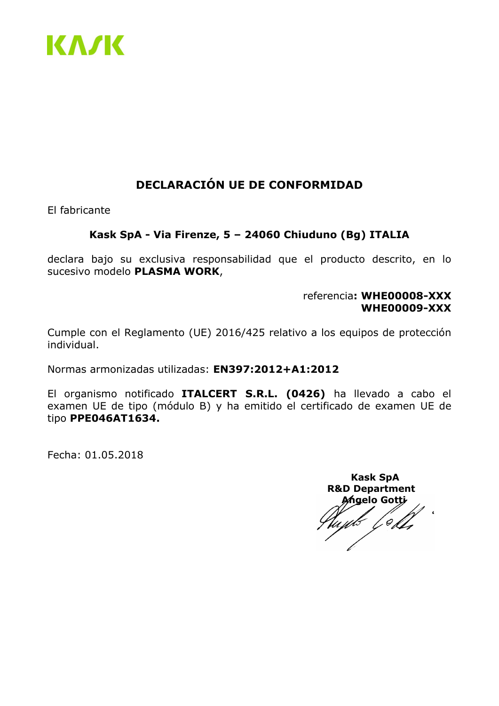

# DECLARACIÓN UE DE CONFORMIDAD

El fabricante

### Kask SpA - Via Firenze, 5 – 24060 Chiuduno (Bg) ITALIA

declara bajo su exclusiva responsabilidad que el producto descrito, en lo sucesivo modelo PLASMA WORK,

> referencia: WHE00008-XXX WHE00009-XXX

Cumple con el Reglamento (UE) 2016/425 relativo a los equipos de protección individual.

Normas armonizadas utilizadas: EN397:2012+A1:2012

El organismo notificado ITALCERT S.R.L. (0426) ha llevado a cabo el examen UE de tipo (módulo B) y ha emitido el certificado de examen UE de tipo PPE046AT1634.

Fecha: 01.05.2018

 Kask SpA R&D Department *M***ngelo Gotti** b [oDh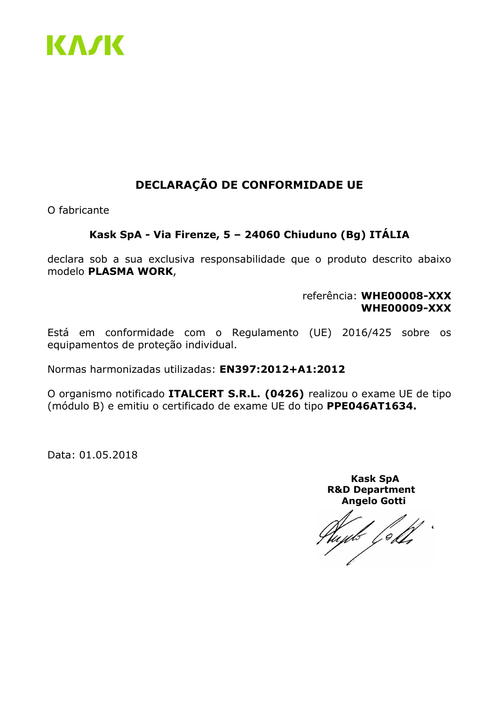

# DECLARAÇÃO DE CONFORMIDADE UE

O fabricante

#### Kask SpA - Via Firenze, 5 – 24060 Chiuduno (Bg) ITÁLIA

declara sob a sua exclusiva responsabilidade que o produto descrito abaixo modelo PLASMA WORK,

> referência: WHE00008-XXX WHE00009-XXX

Está em conformidade com o Regulamento (UE) 2016/425 sobre os equipamentos de proteção individual.

Normas harmonizadas utilizadas: EN397:2012+A1:2012

O organismo notificado ITALCERT S.R.L. (0426) realizou o exame UE de tipo (módulo B) e emitiu o certificado de exame UE do tipo PPE046AT1634.

Data: 01.05.2018

yk (oltr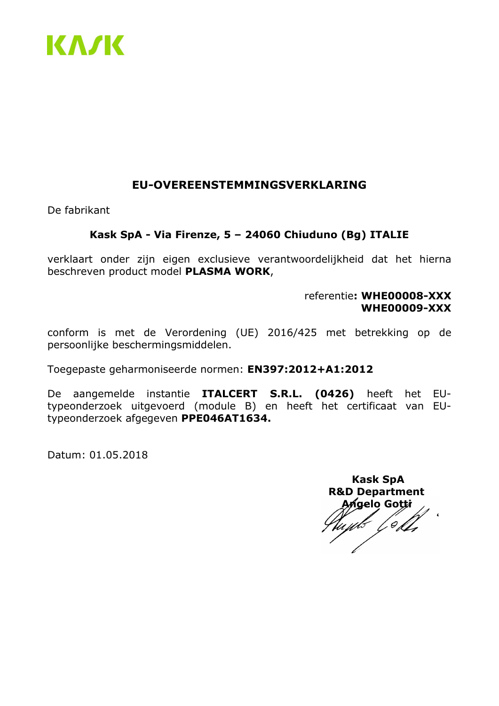

### EU-OVEREENSTEMMINGSVERKLARING

De fabrikant

#### Kask SpA - Via Firenze, 5 – 24060 Chiuduno (Bg) ITALIE

verklaart onder zijn eigen exclusieve verantwoordelijkheid dat het hierna beschreven product model PLASMA WORK,

> referentie: WHE00008-XXX WHE00009-XXX

conform is met de Verordening (UE) 2016/425 met betrekking op de persoonlijke beschermingsmiddelen.

Toegepaste geharmoniseerde normen: EN397:2012+A1:2012

De aangemelde instantie ITALCERT S.R.L. (0426) heeft het EUtypeonderzoek uitgevoerd (module B) en heeft het certificaat van EUtypeonderzoek afgegeven PPE046AT1634.

Datum: 01.05.2018

 Kask SpA R&D Department ท*ี่*gelo Gotti  $\overline{ }$ y off,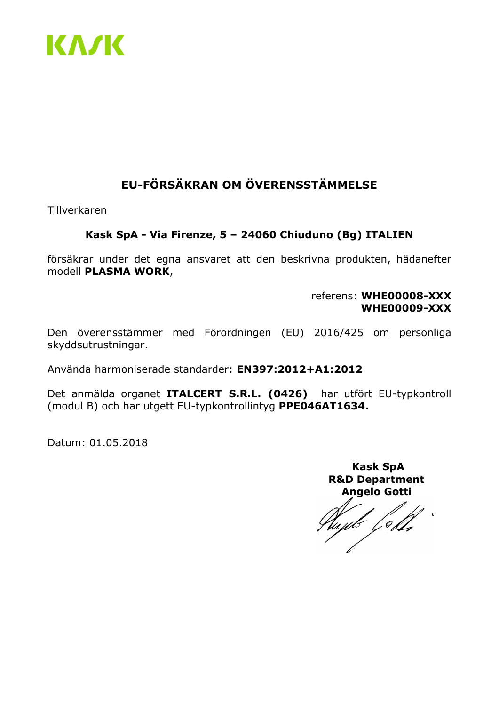

# EU-FÖRSÄKRAN OM ÖVERENSSTÄMMELSE

Tillverkaren

### Kask SpA - Via Firenze, 5 – 24060 Chiuduno (Bg) ITALIEN

försäkrar under det egna ansvaret att den beskrivna produkten, hädanefter modell PLASMA WORK,

> referens: WHE00008-XXX WHE00009-XXX

Den överensstämmer med Förordningen (EU) 2016/425 om personliga skyddsutrustningar.

Använda harmoniserade standarder: EN397:2012+A1:2012

Det anmälda organet ITALCERT S.R.L. (0426) har utfört EU-typkontroll (modul B) och har utgett EU-typkontrollintyg PPE046AT1634.

Datum: 01.05.2018

yds Colli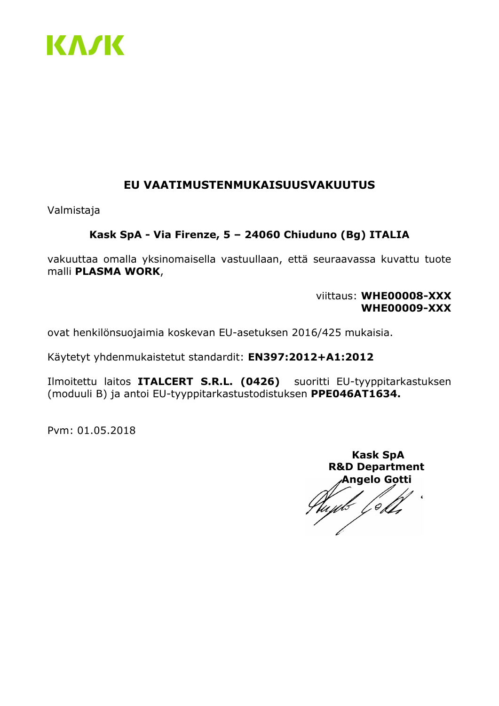

### EU VAATIMUSTENMUKAISUUSVAKUUTUS

Valmistaja

### Kask SpA - Via Firenze, 5 – 24060 Chiuduno (Bg) ITALIA

vakuuttaa omalla yksinomaisella vastuullaan, että seuraavassa kuvattu tuote malli PLASMA WORK,

> viittaus: WHE00008-XXX WHE00009-XXX

ovat henkilönsuojaimia koskevan EU-asetuksen 2016/425 mukaisia.

Käytetyt yhdenmukaistetut standardit: EN397:2012+A1:2012

Ilmoitettu laitos ITALCERT S.R.L. (0426) suoritti EU-tyyppitarkastuksen (moduuli B) ja antoi EU-tyyppitarkastustodistuksen PPE046AT1634.

Pvm: 01.05.2018

wb [ob],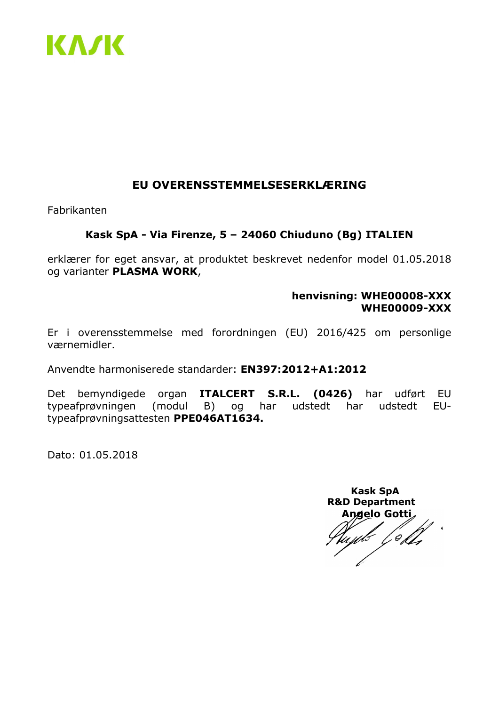

### EU OVERENSSTEMMELSESERKLÆRING

Fabrikanten

#### Kask SpA - Via Firenze, 5 – 24060 Chiuduno (Bg) ITALIEN

erklærer for eget ansvar, at produktet beskrevet nedenfor model 01.05.2018 og varianter PLASMA WORK,

#### henvisning: WHE00008-XXX WHE00009-XXX

Er i overensstemmelse med forordningen (EU) 2016/425 om personlige værnemidler.

Anvendte harmoniserede standarder: EN397:2012+A1:2012

Det bemyndigede organ ITALCERT S.R.L. (0426) har udført EU typeafprøvningen (modul B) og har udstedt har udstedt EUtypeafprøvningsattesten PPE046AT1634.

 Kask SpA R&D Department Angelo Gotti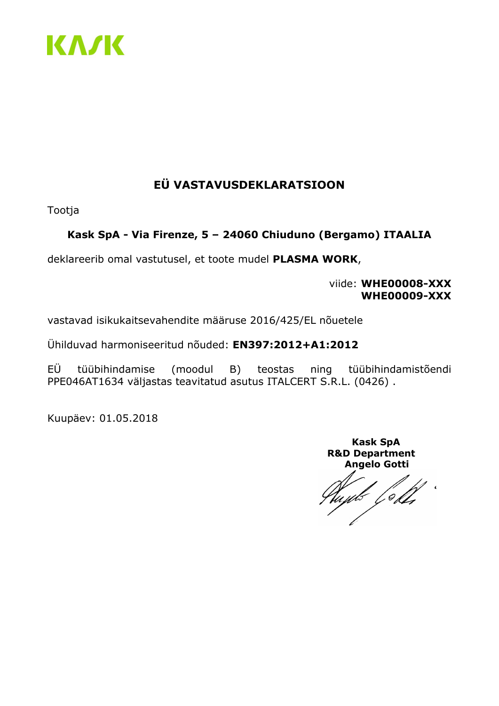

# EÜ VASTAVUSDEKLARATSIOON

Tootja

### Kask SpA - Via Firenze, 5 – 24060 Chiuduno (Bergamo) ITAALIA

deklareerib omal vastutusel, et toote mudel PLASMA WORK,

viide: WHE00008-XXX WHE00009-XXX

vastavad isikukaitsevahendite määruse 2016/425/EL nõuetele

Ühilduvad harmoniseeritud nõuded: EN397:2012+A1:2012

EÜ tüübihindamise (moodul B) teostas ning tüübihindamistõendi PPE046AT1634 väljastas teavitatud asutus ITALCERT S.R.L. (0426) .

Kuupäev: 01.05.2018

yds [old]  $\overline{\mathbf{a}}$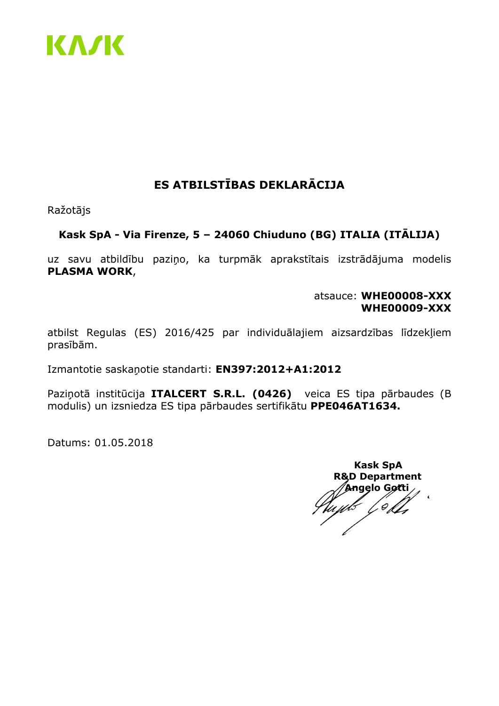

# ES ATBILSTĪBAS DEKLARĀCIJA

Ražotājs

### Kask SpA - Via Firenze, 5 – 24060 Chiuduno (BG) ITALIA (ITĀLIJA)

uz savu atbildību paziņo, ka turpmāk aprakstītais izstrādājuma modelis PLASMA WORK,

> atsauce: WHE00008-XXX WHE00009-XXX

atbilst Regulas (ES) 2016/425 par individuālajiem aizsardzības līdzekļiem prasībām.

Izmantotie saskaņotie standarti: EN397:2012+A1:2012

Paziņotā institūcija **ITALCERT S.R.L. (0426)** veica ES tipa pārbaudes (B modulis) un izsniedza ES tipa pārbaudes sertifikātu PPE046AT1634.

Datums: 01.05.2018

 Kask SpA R&D Department ,<br>Angelo Gøtti yts Lex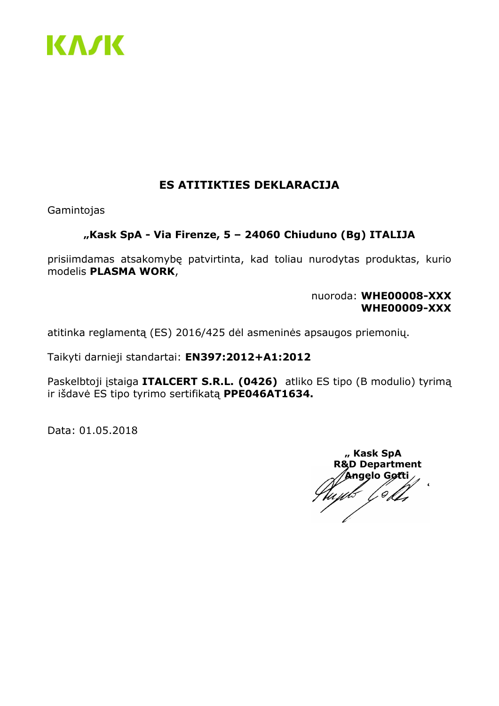

### ES ATITIKTIES DEKLARACIJA

Gamintojas

### "Kask SpA - Via Firenze, 5 - 24060 Chiuduno (Bg) ITALIJA

prisiimdamas atsakomybę patvirtinta, kad toliau nurodytas produktas, kurio modelis PLASMA WORK,

> nuoroda: WHE00008-XXX WHE00009-XXX

atitinka reglamentą (ES) 2016/425 dėl asmeninės apsaugos priemonių.

Taikyti darnieji standartai: EN397:2012+A1:2012

Paskelbtoji įstaiga **ITALCERT S.R.L. (0426)** atliko ES tipo (B modulio) tyrimą ir išdavė ES tipo tyrimo sertifikatą PPE046AT1634.

" Kask SpA R&D Department  $\ell$ Angelo Gøtti $\ell$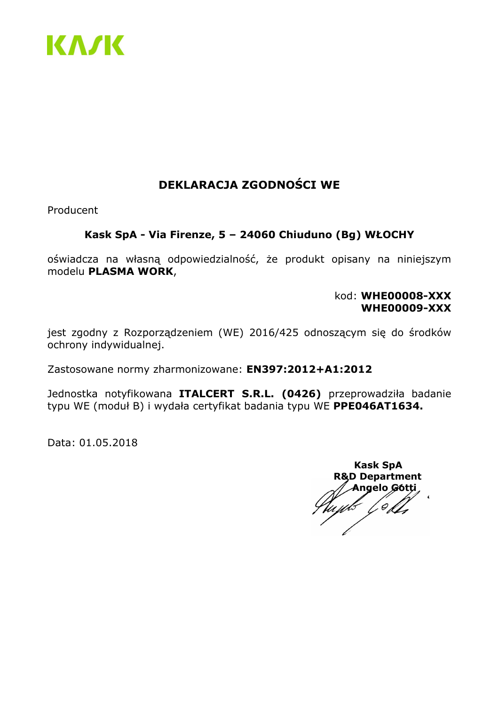

# DEKLARACJA ZGODNOŚCI WE

Producent

### Kask SpA - Via Firenze, 5 – 24060 Chiuduno (Bg) WŁOCHY

oświadcza na własną odpowiedzialność, że produkt opisany na niniejszym modelu PLASMA WORK,

> kod: WHE00008-XXX WHE00009-XXX

jest zgodny z Rozporządzeniem (WE) 2016/425 odnoszącym się do środków ochrony indywidualnej.

Zastosowane normy zharmonizowane: EN397:2012+A1:2012

Jednostka notyfikowana ITALCERT S.R.L. (0426) przeprowadziła badanie typu WE (moduł B) i wydała certyfikat badania typu WE PPE046AT1634.

 Kask SpA R&D Department Angelo *G*ótti .<br>ub L & L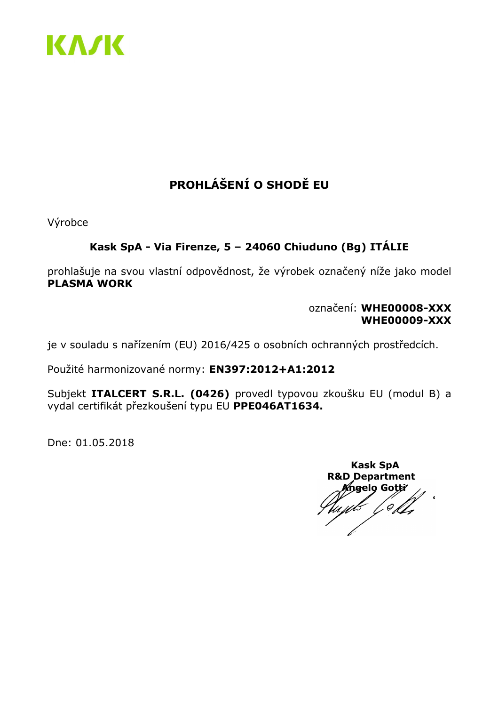

# PROHLÁŠENÍ O SHODĚ EU

Výrobce

### Kask SpA - Via Firenze, 5 – 24060 Chiuduno (Bg) ITÁLIE

prohlašuje na svou vlastní odpovědnost, že výrobek označený níže jako model PLASMA WORK

> označení: WHE00008-XXX WHE00009-XXX

je v souladu s nařízením (EU) 2016/425 o osobních ochranných prostředcích.

Použité harmonizované normy: EN397:2012+A1:2012

Subjekt ITALCERT S.R.L. (0426) provedl typovou zkoušku EU (modul B) a vydal certifikát přezkoušení typu EU PPE046AT1634.

Dne: 01.05.2018

 Kask SpA R&D Department  $\operatorname{\mathsf{f}\mathsf{ne}}$ lo Gott $i$ 60 Kb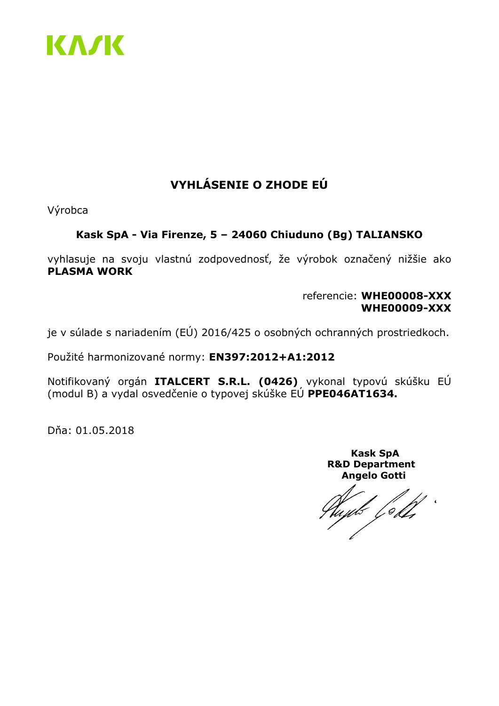

# VYHLÁSENIE O ZHODE EÚ

Výrobca

### Kask SpA - Via Firenze, 5 – 24060 Chiuduno (Bg) TALIANSKO

vyhlasuje na svoju vlastnú zodpovednosť, že výrobok označený nižšie ako PLASMA WORK

> referencie: WHE00008-XXX WHE00009-XXX

je v súlade s nariadením (EÚ) 2016/425 o osobných ochranných prostriedkoch.

Použité harmonizované normy: EN397:2012+A1:2012

Notifikovaný orgán ITALCERT S.R.L. (0426) vykonal typovú skúšku EÚ (modul B) a vydal osvedčenie o typovej skúške EÚ PPE046AT1634.

Dňa: 01.05.2018

yds [oll,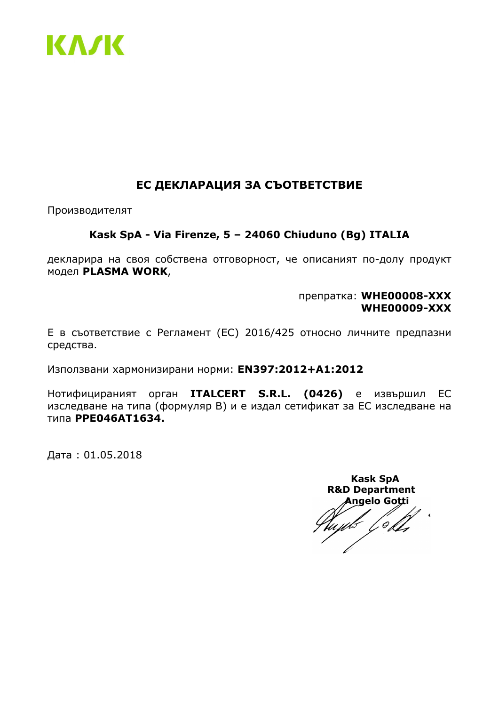

### ЕС ДЕКЛАРАЦИЯ ЗА СЪОТВЕТСТВИЕ

Производителят

#### Kask SpA - Via Firenze, 5 – 24060 Chiuduno (Bg) ITALIA

декларира на своя собствена отговорност, че описаният по-долу продукт модел PLASMA WORK,

> препратка: WHE00008-XXX WHE00009-XXX

Е в съответствие с Регламент (ЕС) 2016/425 относно личните предпазни средства.

Използвани хармонизирани норми: EN397:2012+A1:2012

Нотифицираният орган ITALCERT S.R.L. (0426) е извършил ЕС изследване на типа (формуляр B) и е издал сетификат за ЕС изследване на типа PPE046AT1634.

Дата : 01.05.2018

 Kask SpA R&D Department Angelo Gotti $\epsilon$ ub [ob],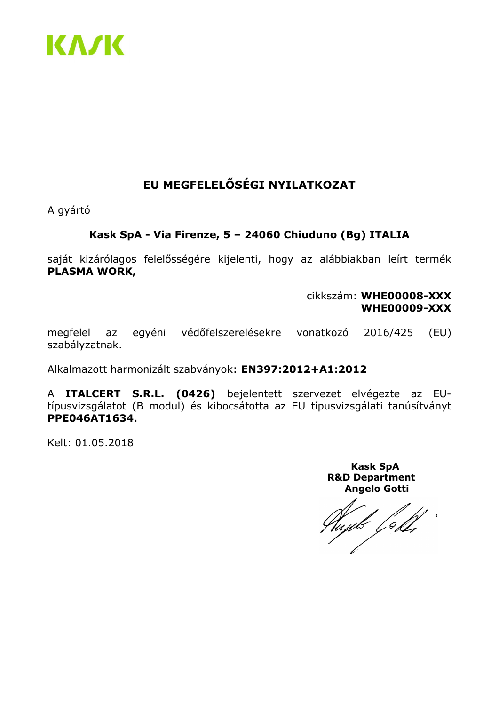

# EU MEGFELELŐSÉGI NYILATKOZAT

A gyártó

### Kask SpA - Via Firenze, 5 – 24060 Chiuduno (Bg) ITALIA

saját kizárólagos felelősségére kijelenti, hogy az alábbiakban leírt termék PLASMA WORK,

> cikkszám: WHE00008-XXX WHE00009-XXX

megfelel az egyéni védőfelszerelésekre vonatkozó 2016/425 (EU) szabályzatnak.

Alkalmazott harmonizált szabványok: EN397:2012+A1:2012

A ITALCERT S.R.L. (0426) bejelentett szervezet elvégezte az EUtípusvizsgálatot (B modul) és kibocsátotta az EU típusvizsgálati tanúsítványt PPE046AT1634.

Kelt: 01.05.2018

yls [oll,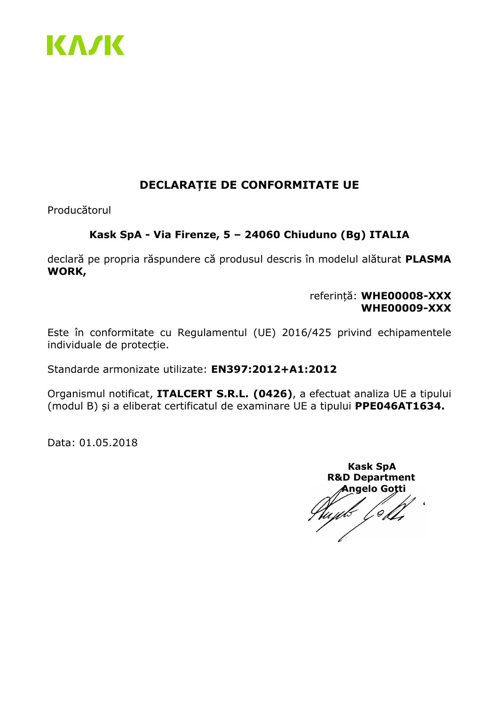

### DECLARAȚIE DE CONFORMITATE UE

Producătorul

### Kask SpA - Via Firenze, 5 – 24060 Chiuduno (Bg) ITALIA

declară pe propria răspundere că produsul descris în modelul alăturat PLASMA WORK,

> referință: WHE00008-XXX WHE00009-XXX

Este în conformitate cu Regulamentul (UE) 2016/425 privind echipamentele individuale de protecție.

Standarde armonizate utilizate: EN397:2012+A1:2012

Organismul notificat, ITALCERT S.R.L. (0426), a efectuat analiza UE a tipului (modul B) și a eliberat certificatul de examinare UE a tipului PPE046AT1634.

 Kask SpA R&D Department Angelo Gotti $\overline{1}$ tu*yls [*ol],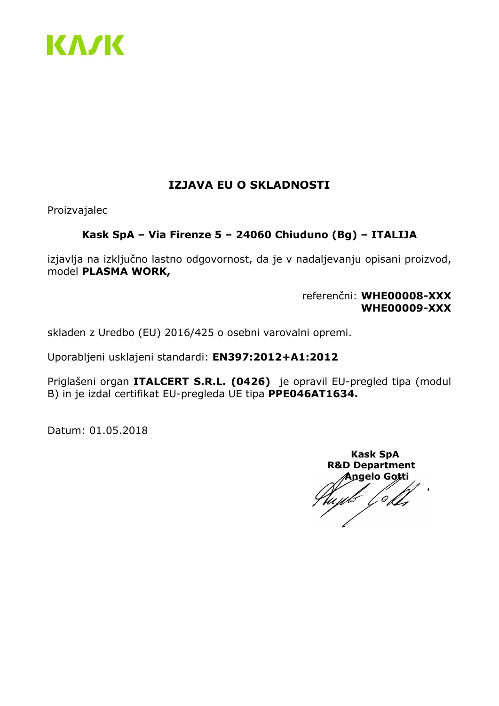

### IZJAVA EU O SKLADNOSTI

Proizvajalec

### Kask SpA – Via Firenze 5 – 24060 Chiuduno (Bg) – ITALIJA

izjavlja na izključno lastno odgovornost, da je v nadaljevanju opisani proizvod, model PLASMA WORK,

> referenčni: WHE00008-XXX WHE00009-XXX

skladen z Uredbo (EU) 2016/425 o osebni varovalni opremi.

Uporabljeni usklajeni standardi: EN397:2012+A1:2012

Priglašeni organ **ITALCERT S.R.L. (0426)** je opravil EU-pregled tipa (modul B) in je izdal certifikat EU-pregleda UE tipa PPE046AT1634.

Datum: 01.05.2018

 Kask SpA R&D Department Angelo Gotti $\epsilon$ L&L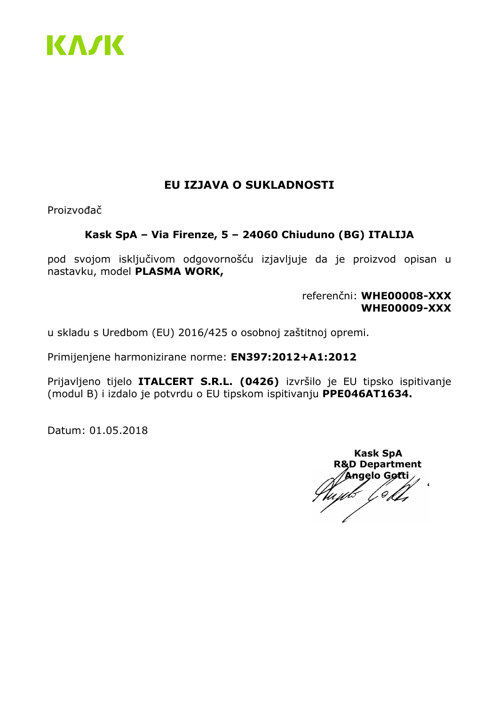

### EU IZJAVA O SUKLADNOSTI

Proizvođač

#### Kask SpA – Via Firenze, 5 – 24060 Chiuduno (BG) ITALIJA

pod svojom isključivom odgovornošću izjavljuje da je proizvod opisan u nastavku, model PLASMA WORK,

> referenčni: WHE00008-XXX WHE00009-XXX

u skladu s Uredbom (EU) 2016/425 o osobnoj zaštitnoj opremi.

Primijenjene harmonizirane norme: EN397:2012+A1:2012

Prijavljeno tijelo ITALCERT S.R.L. (0426) izvršilo je EU tipsko ispitivanje (modul B) i izdalo je potvrdu o EU tipskom ispitivanju PPE046AT1634.

Datum: 01.05.2018

 Kask SpA R&D Department  $^{\prime}$ Angelo Gøtti $_{\times}$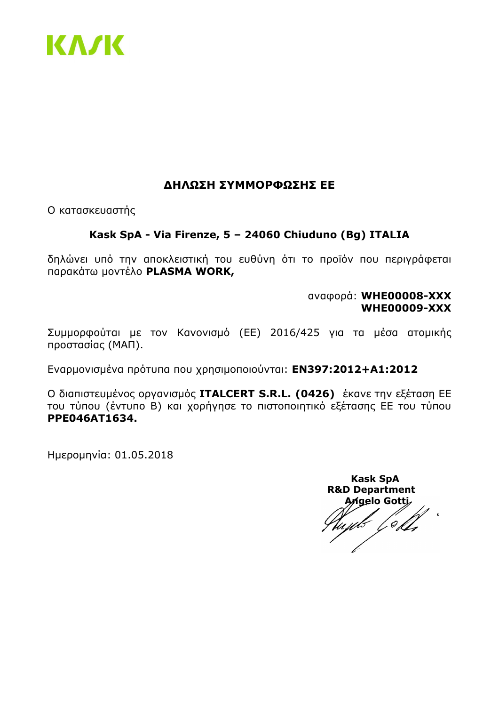

### ΔΗΛΩΣΗ ΣΥΜΜΟΡΦΩΣΗΣ ΕΕ

Ο κατασκευαστής

#### Kask SpA - Via Firenze, 5 – 24060 Chiuduno (Bg) ITALIA

δηλώνει υπό την αποκλειστική του ευθύνη ότι το προϊόν που περιγράφεται παρακάτω μοντέλο PLASMA WORK,

> αναφορά: WHE00008-XXX WHE00009-XXX

Συμμορφούται με τον Κανονισμό (ΕΕ) 2016/425 για τα μέσα ατομικής προστασίας (ΜΑΠ).

Εναρμονισμένα πρότυπα που χρησιμοποιούνται: EN397:2012+A1:2012

Ο διαπιστευμένος οργανισμός ITALCERT S.R.L. (0426) έκανε την εξέταση ΕΕ του τύπου (έντυπο B) και χορήγησε το πιστοποιητικό εξέτασης ΕΕ του τύπου PPE046AT1634.

Ημερομηνία: 01.05.2018

 Kask SpA R&D Department Anaelo Gotti  $\sqrt{911}$